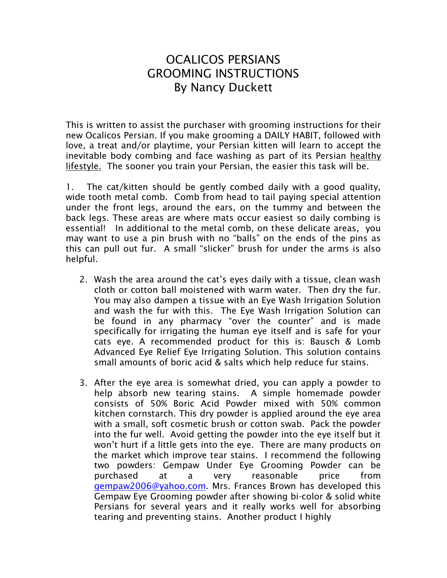## OCALICOS PERSIANS GROOMING INSTRUCTIONS By Nancy Duckett

This is written to assist the purchaser with grooming instructions for their new Ocalicos Persian. If you make grooming a DAILY HABIT, followed with love, a treat and/or playtime, your Persian kitten will learn to accept the inevitable body combing and face washing as part of its Persian healthy lifestyle. The sooner you train your Persian, the easier this task will be.

1. The cat/kitten should be gently combed daily with a good quality, wide tooth metal comb. Comb from head to tail paying special attention under the front legs, around the ears, on the tummy and between the back legs. These areas are where mats occur easiest so daily combing is essential! In additional to the metal comb, on these delicate areas, you may want to use a pin brush with no "balls" on the ends of the pins as this can pull out fur. A small "slicker" brush for under the arms is also helpful.

- 2. Wash the area around the cat's eyes daily with a tissue, clean wash cloth or cotton ball moistened with warm water. Then dry the fur. You may also dampen a tissue with an Eye Wash Irrigation Solution and wash the fur with this. The Eye Wash Irrigation Solution can be found in any pharmacy "over the counter" and is made specifically for irrigating the human eye itself and is safe for your cats eye. A recommended product for this is: Bausch & Lomb Advanced Eye Relief Eye Irrigating Solution. This solution contains small amounts of boric acid & salts which help reduce fur stains.
- 3. After the eye area is somewhat dried, you can apply a powder to help absorb new tearing stains. A simple homemade powder consists of 50% Boric Acid Powder mixed with 50% common kitchen cornstarch. This dry powder is applied around the eye area with a small, soft cosmetic brush or cotton swab. Pack the powder into the fur well. Avoid getting the powder into the eye itself but it won't hurt if a little gets into the eye. There are many products on the market which improve tear stains. I recommend the following two powders: Gempaw Under Eye Grooming Powder can be purchased at a very reasonable price from [gempaw2006@yahoo.com.](mailto:gempaw2006@yahoo.com) Mrs. Frances Brown has developed this Gempaw Eye Grooming powder after showing bi-color & solid white Persians for several years and it really works well for absorbing tearing and preventing stains. Another product I highly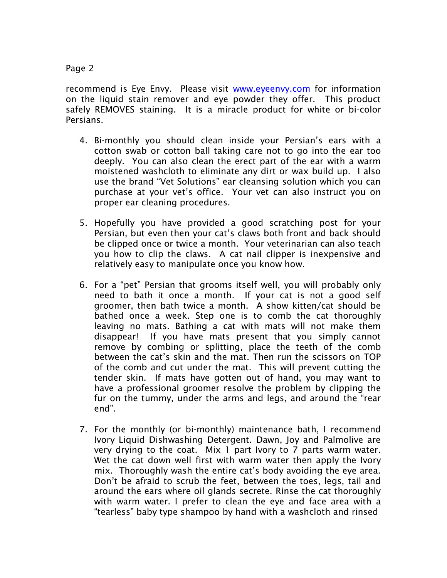## Page 2

recommend is Eye Envy. Please visit [www.eyeenvy.com](http://www.eyeenvy.com/) for information on the liquid stain remover and eye powder they offer. This product safely REMOVES staining. It is a miracle product for white or bi-color Persians.

- 4. Bi-monthly you should clean inside your Persian's ears with a cotton swab or cotton ball taking care not to go into the ear too deeply. You can also clean the erect part of the ear with a warm moistened washcloth to eliminate any dirt or wax build up. I also use the brand "Vet Solutions" ear cleansing solution which you can purchase at your vet's office. Your vet can also instruct you on proper ear cleaning procedures.
- 5. Hopefully you have provided a good scratching post for your Persian, but even then your cat's claws both front and back should be clipped once or twice a month. Your veterinarian can also teach you how to clip the claws. A cat nail clipper is inexpensive and relatively easy to manipulate once you know how.
- 6. For a "pet" Persian that grooms itself well, you will probably only need to bath it once a month. If your cat is not a good self groomer, then bath twice a month. A show kitten/cat should be bathed once a week. Step one is to comb the cat thoroughly leaving no mats. Bathing a cat with mats will not make them disappear! If you have mats present that you simply cannot remove by combing or splitting, place the teeth of the comb between the cat's skin and the mat. Then run the scissors on TOP of the comb and cut under the mat. This will prevent cutting the tender skin. If mats have gotten out of hand, you may want to have a professional groomer resolve the problem by clipping the fur on the tummy, under the arms and legs, and around the "rear end".
- 7. For the monthly (or bi-monthly) maintenance bath, I recommend Ivory Liquid Dishwashing Detergent. Dawn, Joy and Palmolive are very drying to the coat. Mix 1 part Ivory to 7 parts warm water. Wet the cat down well first with warm water then apply the Ivory mix. Thoroughly wash the entire cat's body avoiding the eye area. Don't be afraid to scrub the feet, between the toes, legs, tail and around the ears where oil glands secrete. Rinse the cat thoroughly with warm water. I prefer to clean the eye and face area with a "tearless" baby type shampoo by hand with a washcloth and rinsed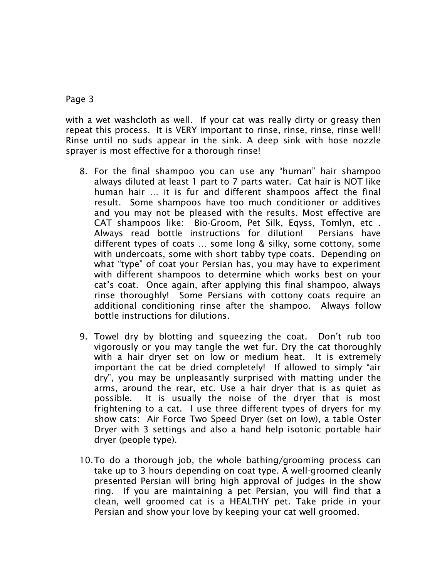## Page 3

with a wet washcloth as well. If your cat was really dirty or greasy then repeat this process. It is VERY important to rinse, rinse, rinse, rinse well! Rinse until no suds appear in the sink. A deep sink with hose nozzle sprayer is most effective for a thorough rinse!

- 8. For the final shampoo you can use any "human" hair shampoo always diluted at least 1 part to 7 parts water. Cat hair is NOT like human hair … it is fur and different shampoos affect the final result. Some shampoos have too much conditioner or additives and you may not be pleased with the results. Most effective are CAT shampoos like: Bio-Groom, Pet Silk, Eqyss, Tomlyn, etc . Always read bottle instructions for dilution! Persians have different types of coats … some long & silky, some cottony, some with undercoats, some with short tabby type coats. Depending on what "type" of coat your Persian has, you may have to experiment with different shampoos to determine which works best on your cat's coat. Once again, after applying this final shampoo, always rinse thoroughly! Some Persians with cottony coats require an additional conditioning rinse after the shampoo. Always follow bottle instructions for dilutions.
- 9. Towel dry by blotting and squeezing the coat. Don't rub too vigorously or you may tangle the wet fur. Dry the cat thoroughly with a hair dryer set on low or medium heat. It is extremely important the cat be dried completely! If allowed to simply "air dry", you may be unpleasantly surprised with matting under the arms, around the rear, etc. Use a hair dryer that is as quiet as possible. It is usually the noise of the dryer that is most frightening to a cat. I use three different types of dryers for my show cats: Air Force Two Speed Dryer (set on low), a table Oster Dryer with 3 settings and also a hand help isotonic portable hair dryer (people type).
- 10.To do a thorough job, the whole bathing/grooming process can take up to 3 hours depending on coat type. A well-groomed cleanly presented Persian will bring high approval of judges in the show ring. If you are maintaining a pet Persian, you will find that a clean, well groomed cat is a HEALTHY pet. Take pride in your Persian and show your love by keeping your cat well groomed.